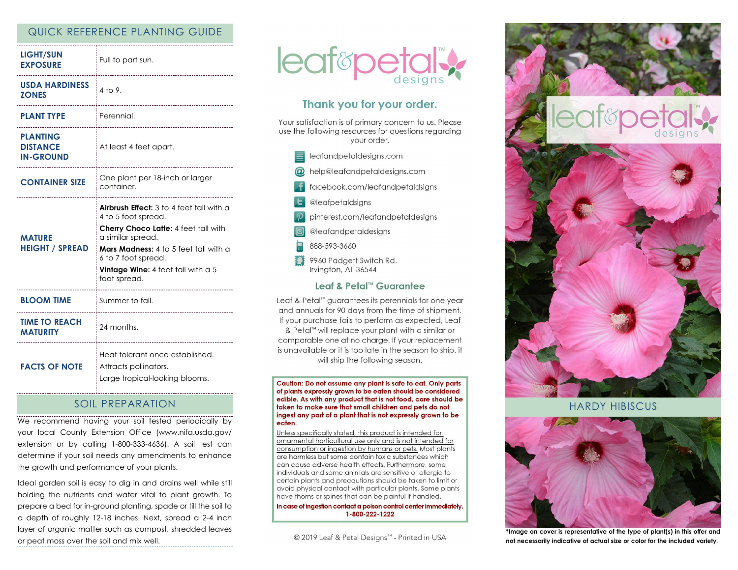## QUICK REFERENCE PLANTING GUIDE

| <b>LIGHT/SUN</b><br><b>EXPOSURE</b>                    | Full to part sun.<br>-----------------------                                                                                                                                                                                                                       |
|--------------------------------------------------------|--------------------------------------------------------------------------------------------------------------------------------------------------------------------------------------------------------------------------------------------------------------------|
| <b>USDA HARDINESS</b><br><b>ZONES</b>                  | $4$ to 9.                                                                                                                                                                                                                                                          |
| <b>PLANT TYPE</b>                                      | Perennial.<br>-------------------------------                                                                                                                                                                                                                      |
| <b>PLANTING</b><br><b>DISTANCE</b><br><b>IN-GROUND</b> | At least 4 feet apart.<br>                                                                                                                                                                                                                                         |
| <b>CONTAINER SIZE</b>                                  | One plant per 18-inch or larger<br>container.                                                                                                                                                                                                                      |
| <b>MATURE</b><br><b>HEIGHT / SPREAD</b>                | <b>Airbrush Effect:</b> 3 to 4 feet tall with a<br>4 to 5 foot spread.<br>Cherry Choco Latte: 4 feet tall with<br>a similar spread.<br><b>Mars Madness:</b> 4 to 5 feet tall with a<br>6 to 7 foot spread.<br>Vintage Wine: 4 feet tall with $a$ 5<br>foot spread. |
| <b>BLOOM TIME</b>                                      | Summer to fall.                                                                                                                                                                                                                                                    |
| <b>TIME TO REACH</b><br><b>MATURITY</b>                | 24 months.<br>---------------------------------                                                                                                                                                                                                                    |
| <b>FACTS OF NOTE</b>                                   | Heat tolerant once established.<br>Attracts pollinators.<br>Large tropical-looking blooms.                                                                                                                                                                         |

# SOIL PREPARATION

We recommend having your soil tested periodically by your local County Extension Office (www.nifa.usda.gov/ extension or by calling 1-800-333-4636). A soil test can determine if your soil needs any amendments to enhance the growth and performance of your plants.

Ideal garden soil is easy to dig in and drains well while still holding the nutrients and water vital to plant growth. To prepare a bed for in-ground planting, spade or till the soil to a depth of roughly 12-18 inches. Next, spread a 2-4 inch layer of organic matter such as compost, shredded leaves or peat moss over the soil and mix well.



# Thank you for your order.

Your satisfaction is of primary concern to us. Please use the following resources for questions regarding your order.

 $\equiv$  leafandpetaldesigns.com @ help@leafandpetaldesigns.com facebook.com/leafandpetaldsigns **L** @leafpetaldsigns pinterest.com/leafandpetaldesigns @leafandpetaldesigns 888-593-3660 9960 Padgett Switch Rd. Irvington, AL 36544

#### Leaf & Petal™ Guarantee

Leaf & Petal<sup>™</sup> guarantees its perennials for one year and annuals for 90 days from the time of shipment. If your purchase fails to perform as expected, Leaf & Petal™ will replace your plant with a similar or comparable one at no charge. If your replacement is unavailable or it is too late in the season to ship, it will ship the following season.

Caution: Do not assume any plant is safe to eat. Only parts of plants expressly grown to be eaten should be considered edible. As with any product that is not food, care should be taken to make sure that small children and pets do not ingest any part of a plant that is not expressly grown to be eaten.

Unless specifically stated, this product is intended for ornamental horticultural use only and is not intended for consumption or ingestion by humans or pets. Most plants are harmless but some contain toxic substances which can cause adverse health effects. Furthermore, some individuals and some animals are sensitive or allergic to certain plants and precautions should be taken to limit or avoid physical contact with particular plants. Some plants have thorns or spines that can be painful if handled.

In case of ingestion contact a poison control center immediately. 1-800-222-1222

© 2019 Leaf & Petal Designs™ - Printed in USA



HARDY HIBISCUS



**\*Image on cover is representative of the type of plant(s) in this offer and not necessarily indicative of actual size or color for the included variety**.